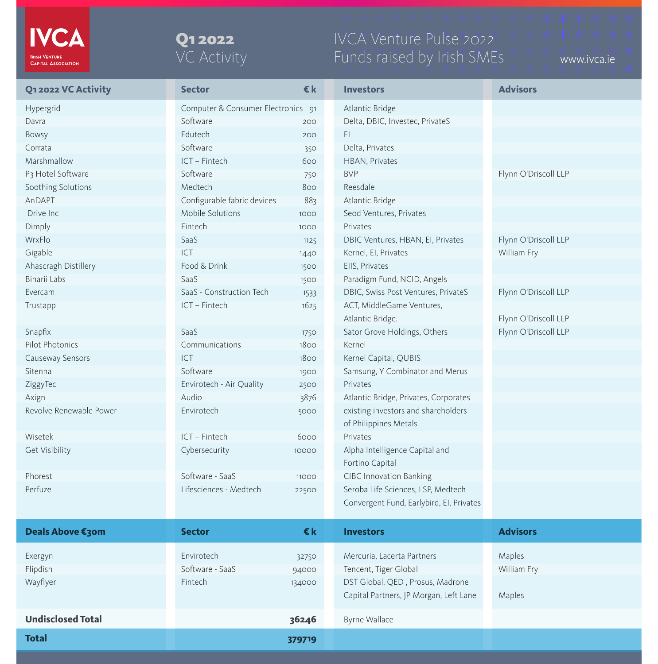## IVCA Venture Pulse 2022 Funds raised by Irish SMEs + + + + www.ivca.ie

| <b>Q12022 VC Activity</b>     | <b>Sector</b>                      | $\epsilon$ k | <b>Investors</b>                         | <b>Advisors</b>      |
|-------------------------------|------------------------------------|--------------|------------------------------------------|----------------------|
| <b>Hypergrid</b>              | Computer & Consumer Electronics 91 |              | Atlantic Bridge                          |                      |
| Davra                         | Software                           | 200          | Delta, DBIC, Investec, PrivateS          |                      |
| Bowsy                         | Edutech                            | 200          | E1                                       |                      |
| Corrata                       | Software                           | 350          | Delta, Privates                          |                      |
| Marshmallow                   | ICT - Fintech                      | 600          | HBAN, Privates                           |                      |
| P <sub>3</sub> Hotel Software | Software                           | 750          | <b>BVP</b>                               | Flynn O'Driscoll LLP |
| Soothing Solutions            | Medtech                            | 800          | Reesdale                                 |                      |
| AnDAPT                        | Configurable fabric devices        | 883          | Atlantic Bridge                          |                      |
| Drive Inc                     | Mobile Solutions                   | 1000         | Seod Ventures, Privates                  |                      |
| Dimply                        | Fintech                            | 1000         | Privates                                 |                      |
| WrxFlo                        | SaaS                               | 1125         | DBIC Ventures, HBAN, EI, Privates        | Flynn O'Driscoll LLP |
| Gigable                       | ICT                                | 1440         | Kernel, El, Privates                     | William Fry          |
| Ahascragh Distillery          | Food & Drink                       | 1500         | EIIS, Privates                           |                      |
| Binarii Labs                  | SaaS                               | 1500         | Paradigm Fund, NCID, Angels              |                      |
| Evercam                       | SaaS - Construction Tech           | 1533         | DBIC, Swiss Post Ventures, PrivateS      | Flynn O'Driscoll LLP |
| Trustapp                      | ICT - Fintech                      | 1625         | ACT, MiddleGame Ventures,                |                      |
|                               |                                    |              | Atlantic Bridge.                         | Flynn O'Driscoll LLP |
| Snapfix                       | SaaS                               | 1750         | Sator Grove Holdings, Others             | Flynn O'Driscoll LLP |
| Pilot Photonics               | Communications                     | 1800         | Kernel                                   |                      |
| Causeway Sensors              | ICT                                | 1800         | Kernel Capital, QUBIS                    |                      |
| Sitenna                       | Software                           | 1900         | Samsung, Y Combinator and Merus          |                      |
| ZiggyTec                      | Envirotech - Air Quality           | 2500         | Privates                                 |                      |
| Axign                         | Audio                              | 3876         | Atlantic Bridge, Privates, Corporates    |                      |
| Revolve Renewable Power       | Envirotech                         | 5000         | existing investors and shareholders      |                      |
|                               |                                    |              | of Philippines Metals                    |                      |
| Wisetek                       | ICT - Fintech                      | 6000         | Privates                                 |                      |
| <b>Get Visibility</b>         | Cybersecurity                      | 10000        | Alpha Intelligence Capital and           |                      |
|                               |                                    |              | Fortino Capital                          |                      |
| Phorest                       | Software - SaaS                    | 11000        | <b>CIBC Innovation Banking</b>           |                      |
| Perfuze                       | Lifesciences - Medtech             | 22500        | Seroba Life Sciences, LSP, Medtech       |                      |
|                               |                                    |              | Convergent Fund, Earlybird, El, Privates |                      |
|                               |                                    |              |                                          |                      |
| <b>Deals Above €30m</b>       | <b>Sector</b>                      | €k           | <b>Investors</b>                         | <b>Advisors</b>      |
| Exergyn                       | Envirotech                         | 32750        | Mercuria, Lacerta Partners               | Maples               |
| Flipdish                      | Software - SaaS                    | 94000        | Tencent, Tiger Global                    | William Fry          |
| Wayflyer                      | Fintech                            | 134000       | DST Global, QED, Prosus, Madrone         |                      |
|                               |                                    |              | Capital Partners, JP Morgan, Left Lane   | Maples               |
|                               |                                    |              |                                          |                      |
| <b>Undisclosed Total</b>      |                                    | 36246        | <b>Byrne Wallace</b>                     |                      |
| <b>Total</b>                  |                                    | 379719       |                                          |                      |



## Q1 2022 VC Activity